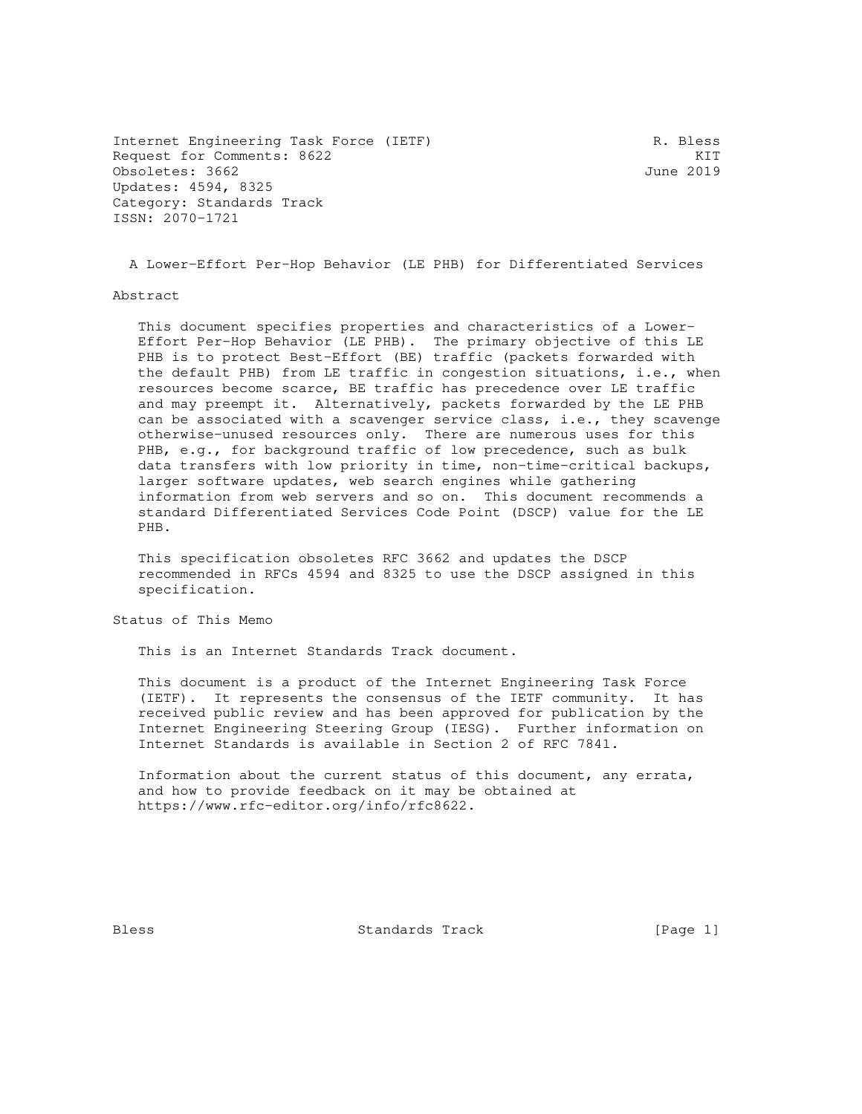Internet Engineering Task Force (IETF) The R. Bless Request for Comments: 8622 KIT Obsoletes: 3662 June 2019 Updates: 4594, 8325 Category: Standards Track ISSN: 2070-1721

A Lower-Effort Per-Hop Behavior (LE PHB) for Differentiated Services

#### Abstract

 This document specifies properties and characteristics of a Lower- Effort Per-Hop Behavior (LE PHB). The primary objective of this LE PHB is to protect Best-Effort (BE) traffic (packets forwarded with the default PHB) from LE traffic in congestion situations, i.e., when resources become scarce, BE traffic has precedence over LE traffic and may preempt it. Alternatively, packets forwarded by the LE PHB can be associated with a scavenger service class, i.e., they scavenge otherwise-unused resources only. There are numerous uses for this PHB, e.g., for background traffic of low precedence, such as bulk data transfers with low priority in time, non-time-critical backups, larger software updates, web search engines while gathering information from web servers and so on. This document recommends a standard Differentiated Services Code Point (DSCP) value for the LE PHB.

 This specification obsoletes RFC 3662 and updates the DSCP recommended in RFCs 4594 and 8325 to use the DSCP assigned in this specification.

Status of This Memo

This is an Internet Standards Track document.

 This document is a product of the Internet Engineering Task Force (IETF). It represents the consensus of the IETF community. It has received public review and has been approved for publication by the Internet Engineering Steering Group (IESG). Further information on Internet Standards is available in Section 2 of RFC 7841.

 Information about the current status of this document, any errata, and how to provide feedback on it may be obtained at https://www.rfc-editor.org/info/rfc8622.

Bless Standards Track [Page 1]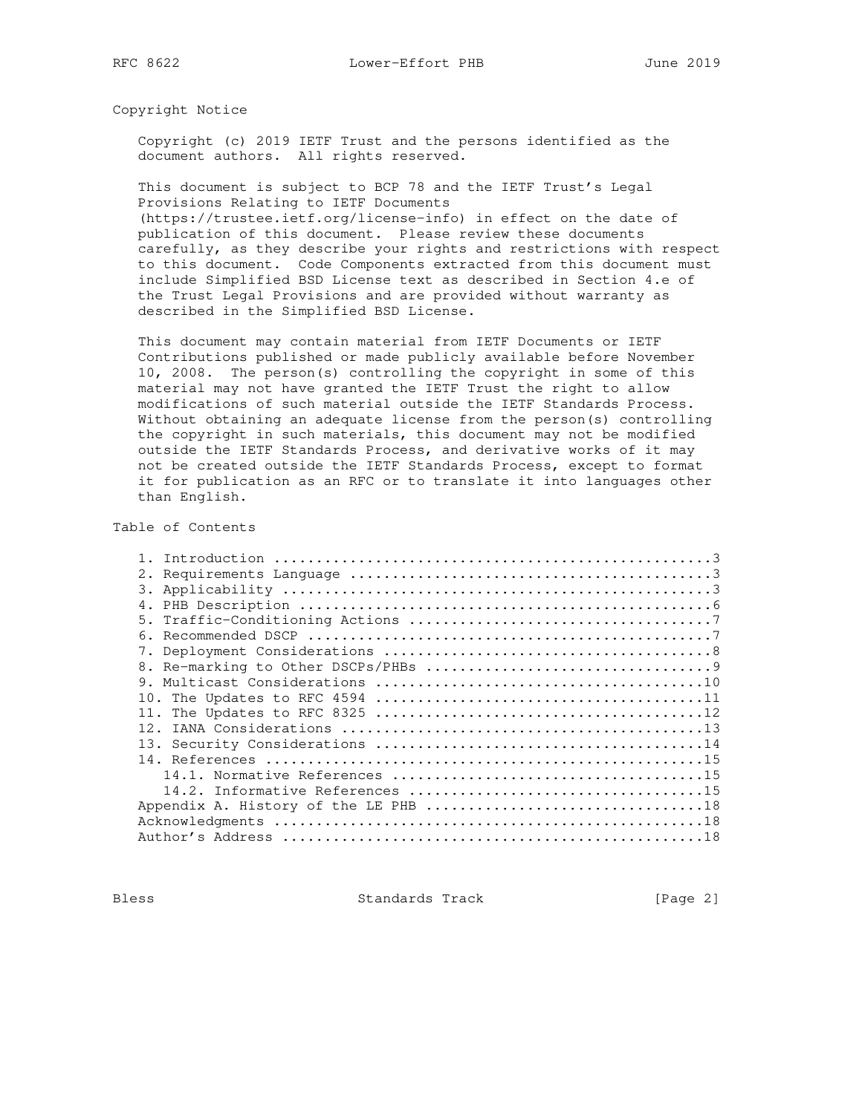Copyright Notice

 Copyright (c) 2019 IETF Trust and the persons identified as the document authors. All rights reserved.

 This document is subject to BCP 78 and the IETF Trust's Legal Provisions Relating to IETF Documents

 (https://trustee.ietf.org/license-info) in effect on the date of publication of this document. Please review these documents carefully, as they describe your rights and restrictions with respect to this document. Code Components extracted from this document must include Simplified BSD License text as described in Section 4.e of the Trust Legal Provisions and are provided without warranty as described in the Simplified BSD License.

 This document may contain material from IETF Documents or IETF Contributions published or made publicly available before November 10, 2008. The person(s) controlling the copyright in some of this material may not have granted the IETF Trust the right to allow modifications of such material outside the IETF Standards Process. Without obtaining an adequate license from the person(s) controlling the copyright in such materials, this document may not be modified outside the IETF Standards Process, and derivative works of it may not be created outside the IETF Standards Process, except to format it for publication as an RFC or to translate it into languages other than English.

Table of Contents

| 5.  |
|-----|
|     |
|     |
|     |
|     |
|     |
|     |
| 12. |
|     |
|     |
|     |
|     |
|     |
|     |
|     |
|     |

Bless Standards Track [Page 2]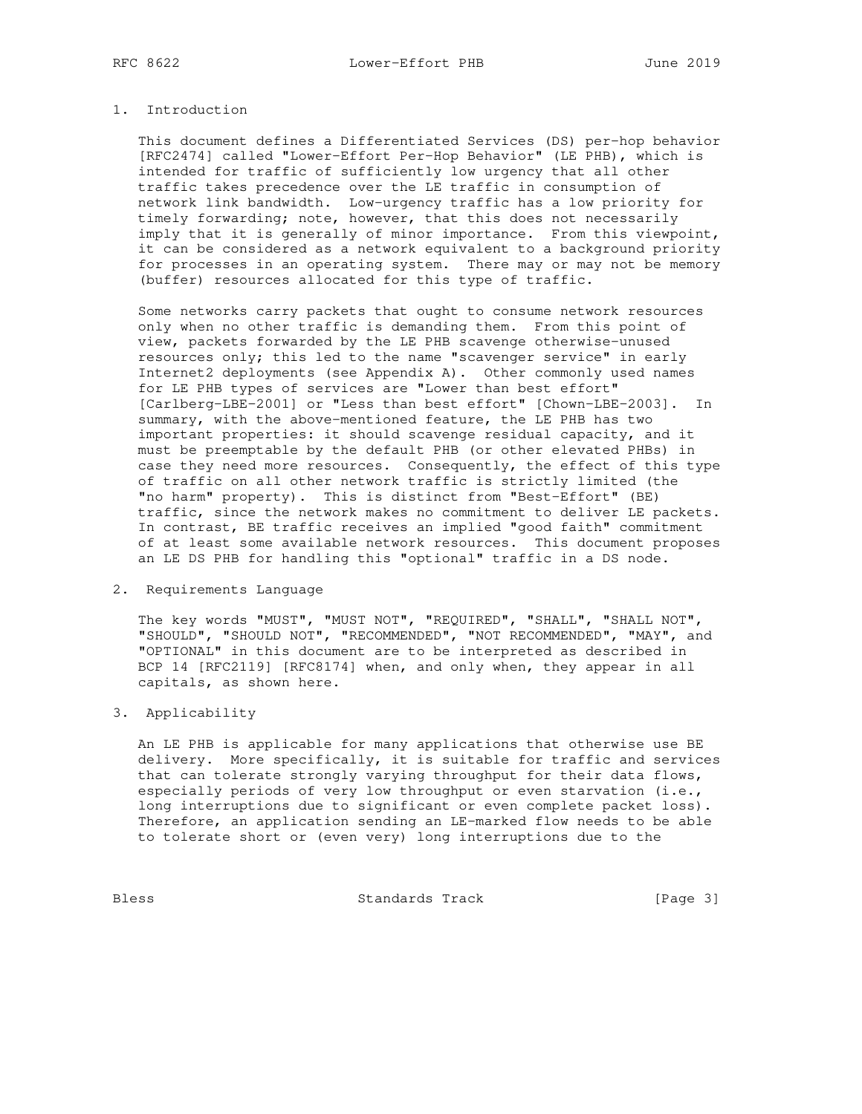## 1. Introduction

 This document defines a Differentiated Services (DS) per-hop behavior [RFC2474] called "Lower-Effort Per-Hop Behavior" (LE PHB), which is intended for traffic of sufficiently low urgency that all other traffic takes precedence over the LE traffic in consumption of network link bandwidth. Low-urgency traffic has a low priority for timely forwarding; note, however, that this does not necessarily imply that it is generally of minor importance. From this viewpoint, it can be considered as a network equivalent to a background priority for processes in an operating system. There may or may not be memory (buffer) resources allocated for this type of traffic.

 Some networks carry packets that ought to consume network resources only when no other traffic is demanding them. From this point of view, packets forwarded by the LE PHB scavenge otherwise-unused resources only; this led to the name "scavenger service" in early Internet2 deployments (see Appendix A). Other commonly used names for LE PHB types of services are "Lower than best effort" [Carlberg-LBE-2001] or "Less than best effort" [Chown-LBE-2003]. In summary, with the above-mentioned feature, the LE PHB has two important properties: it should scavenge residual capacity, and it must be preemptable by the default PHB (or other elevated PHBs) in case they need more resources. Consequently, the effect of this type of traffic on all other network traffic is strictly limited (the "no harm" property). This is distinct from "Best-Effort" (BE) traffic, since the network makes no commitment to deliver LE packets. In contrast, BE traffic receives an implied "good faith" commitment of at least some available network resources. This document proposes an LE DS PHB for handling this "optional" traffic in a DS node.

2. Requirements Language

 The key words "MUST", "MUST NOT", "REQUIRED", "SHALL", "SHALL NOT", "SHOULD", "SHOULD NOT", "RECOMMENDED", "NOT RECOMMENDED", "MAY", and "OPTIONAL" in this document are to be interpreted as described in BCP 14 [RFC2119] [RFC8174] when, and only when, they appear in all capitals, as shown here.

### 3. Applicability

 An LE PHB is applicable for many applications that otherwise use BE delivery. More specifically, it is suitable for traffic and services that can tolerate strongly varying throughput for their data flows, especially periods of very low throughput or even starvation (i.e., long interruptions due to significant or even complete packet loss). Therefore, an application sending an LE-marked flow needs to be able to tolerate short or (even very) long interruptions due to the

Bless Standards Track [Page 3]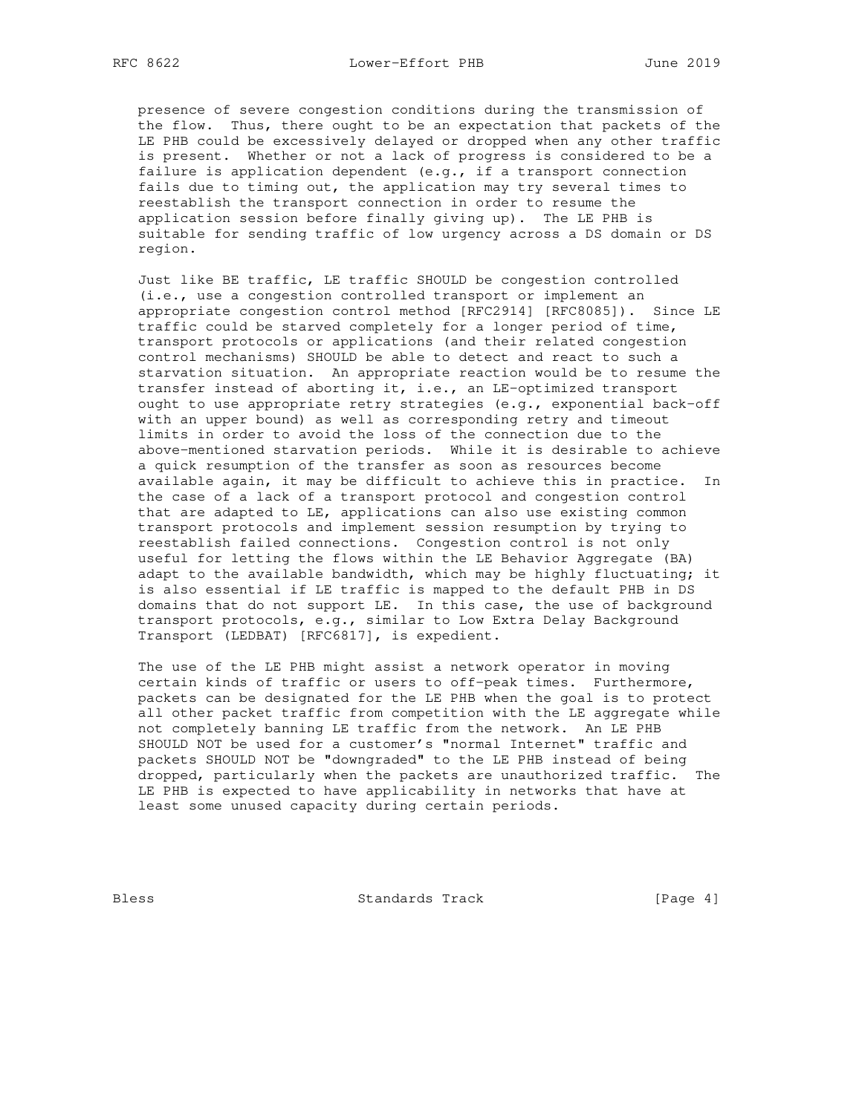presence of severe congestion conditions during the transmission of the flow. Thus, there ought to be an expectation that packets of the LE PHB could be excessively delayed or dropped when any other traffic is present. Whether or not a lack of progress is considered to be a failure is application dependent (e.g., if a transport connection fails due to timing out, the application may try several times to reestablish the transport connection in order to resume the application session before finally giving up). The LE PHB is suitable for sending traffic of low urgency across a DS domain or DS region.

 Just like BE traffic, LE traffic SHOULD be congestion controlled (i.e., use a congestion controlled transport or implement an appropriate congestion control method [RFC2914] [RFC8085]). Since LE traffic could be starved completely for a longer period of time, transport protocols or applications (and their related congestion control mechanisms) SHOULD be able to detect and react to such a starvation situation. An appropriate reaction would be to resume the transfer instead of aborting it, i.e., an LE-optimized transport ought to use appropriate retry strategies (e.g., exponential back-off with an upper bound) as well as corresponding retry and timeout limits in order to avoid the loss of the connection due to the above-mentioned starvation periods. While it is desirable to achieve a quick resumption of the transfer as soon as resources become available again, it may be difficult to achieve this in practice. In the case of a lack of a transport protocol and congestion control that are adapted to LE, applications can also use existing common transport protocols and implement session resumption by trying to reestablish failed connections. Congestion control is not only useful for letting the flows within the LE Behavior Aggregate (BA) adapt to the available bandwidth, which may be highly fluctuating; it is also essential if LE traffic is mapped to the default PHB in DS domains that do not support LE. In this case, the use of background transport protocols, e.g., similar to Low Extra Delay Background Transport (LEDBAT) [RFC6817], is expedient.

 The use of the LE PHB might assist a network operator in moving certain kinds of traffic or users to off-peak times. Furthermore, packets can be designated for the LE PHB when the goal is to protect all other packet traffic from competition with the LE aggregate while not completely banning LE traffic from the network. An LE PHB SHOULD NOT be used for a customer's "normal Internet" traffic and packets SHOULD NOT be "downgraded" to the LE PHB instead of being dropped, particularly when the packets are unauthorized traffic. The LE PHB is expected to have applicability in networks that have at least some unused capacity during certain periods.

Bless Standards Track [Page 4]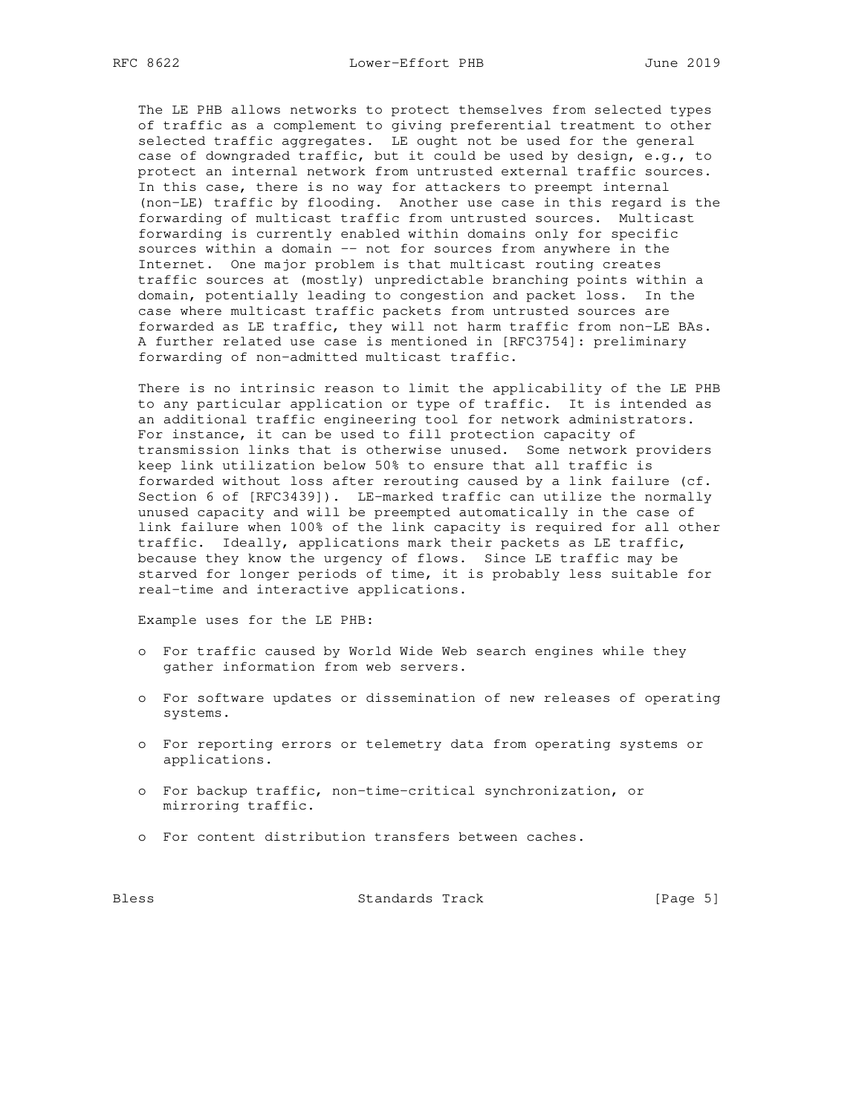The LE PHB allows networks to protect themselves from selected types of traffic as a complement to giving preferential treatment to other selected traffic aggregates. LE ought not be used for the general case of downgraded traffic, but it could be used by design, e.g., to protect an internal network from untrusted external traffic sources. In this case, there is no way for attackers to preempt internal (non-LE) traffic by flooding. Another use case in this regard is the forwarding of multicast traffic from untrusted sources. Multicast forwarding is currently enabled within domains only for specific sources within a domain -- not for sources from anywhere in the Internet. One major problem is that multicast routing creates traffic sources at (mostly) unpredictable branching points within a domain, potentially leading to congestion and packet loss. In the case where multicast traffic packets from untrusted sources are forwarded as LE traffic, they will not harm traffic from non-LE BAs. A further related use case is mentioned in [RFC3754]: preliminary forwarding of non-admitted multicast traffic.

 There is no intrinsic reason to limit the applicability of the LE PHB to any particular application or type of traffic. It is intended as an additional traffic engineering tool for network administrators. For instance, it can be used to fill protection capacity of transmission links that is otherwise unused. Some network providers keep link utilization below 50% to ensure that all traffic is forwarded without loss after rerouting caused by a link failure (cf. Section 6 of [RFC3439]). LE-marked traffic can utilize the normally unused capacity and will be preempted automatically in the case of link failure when 100% of the link capacity is required for all other traffic. Ideally, applications mark their packets as LE traffic, because they know the urgency of flows. Since LE traffic may be starved for longer periods of time, it is probably less suitable for real-time and interactive applications.

Example uses for the LE PHB:

- o For traffic caused by World Wide Web search engines while they gather information from web servers.
- o For software updates or dissemination of new releases of operating systems.
- o For reporting errors or telemetry data from operating systems or applications.
- o For backup traffic, non-time-critical synchronization, or mirroring traffic.
- o For content distribution transfers between caches.

Bless Standards Track [Page 5]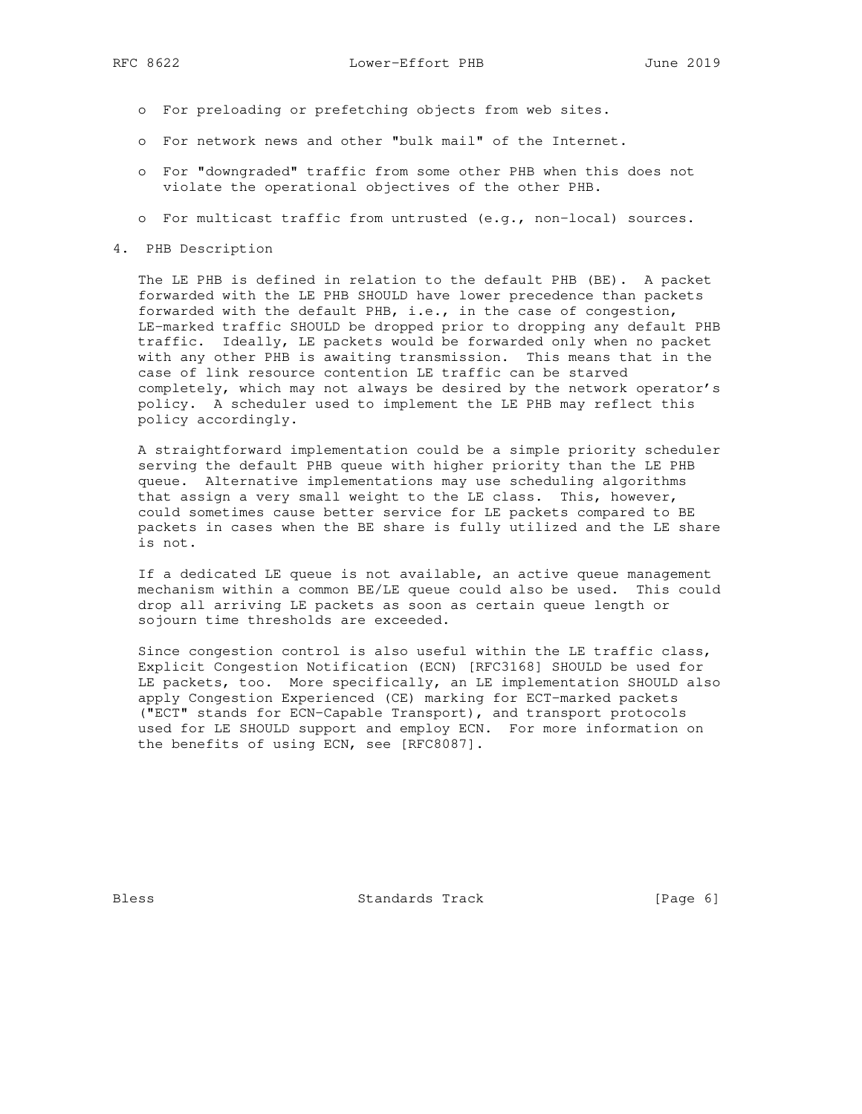- o For preloading or prefetching objects from web sites.
- o For network news and other "bulk mail" of the Internet.
- o For "downgraded" traffic from some other PHB when this does not violate the operational objectives of the other PHB.
- o For multicast traffic from untrusted (e.g., non-local) sources.
- 4. PHB Description

 The LE PHB is defined in relation to the default PHB (BE). A packet forwarded with the LE PHB SHOULD have lower precedence than packets forwarded with the default PHB, i.e., in the case of congestion, LE-marked traffic SHOULD be dropped prior to dropping any default PHB traffic. Ideally, LE packets would be forwarded only when no packet with any other PHB is awaiting transmission. This means that in the case of link resource contention LE traffic can be starved completely, which may not always be desired by the network operator's policy. A scheduler used to implement the LE PHB may reflect this policy accordingly.

 A straightforward implementation could be a simple priority scheduler serving the default PHB queue with higher priority than the LE PHB queue. Alternative implementations may use scheduling algorithms that assign a very small weight to the LE class. This, however, could sometimes cause better service for LE packets compared to BE packets in cases when the BE share is fully utilized and the LE share is not.

 If a dedicated LE queue is not available, an active queue management mechanism within a common BE/LE queue could also be used. This could drop all arriving LE packets as soon as certain queue length or sojourn time thresholds are exceeded.

 Since congestion control is also useful within the LE traffic class, Explicit Congestion Notification (ECN) [RFC3168] SHOULD be used for LE packets, too. More specifically, an LE implementation SHOULD also apply Congestion Experienced (CE) marking for ECT-marked packets ("ECT" stands for ECN-Capable Transport), and transport protocols used for LE SHOULD support and employ ECN. For more information on the benefits of using ECN, see [RFC8087].

Bless Standards Track [Page 6]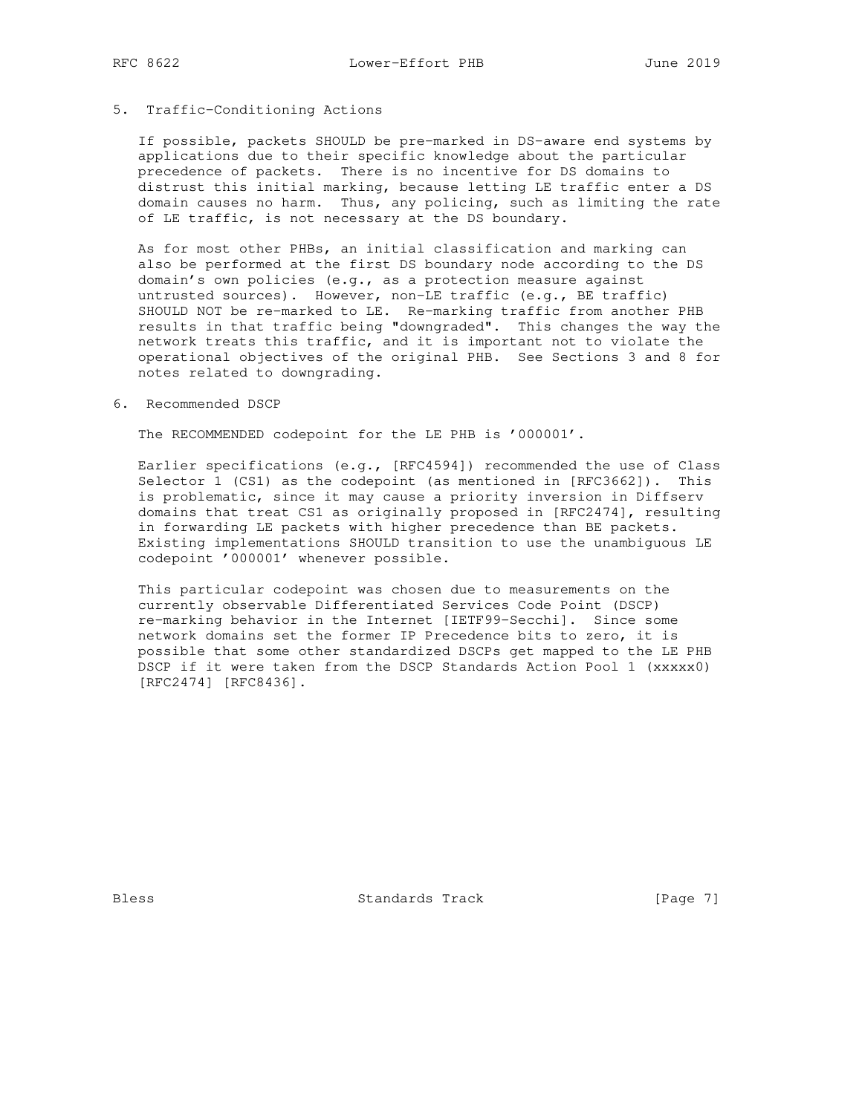#### 5. Traffic-Conditioning Actions

 If possible, packets SHOULD be pre-marked in DS-aware end systems by applications due to their specific knowledge about the particular precedence of packets. There is no incentive for DS domains to distrust this initial marking, because letting LE traffic enter a DS domain causes no harm. Thus, any policing, such as limiting the rate of LE traffic, is not necessary at the DS boundary.

 As for most other PHBs, an initial classification and marking can also be performed at the first DS boundary node according to the DS domain's own policies (e.g., as a protection measure against untrusted sources). However, non-LE traffic (e.g., BE traffic) SHOULD NOT be re-marked to LE. Re-marking traffic from another PHB results in that traffic being "downgraded". This changes the way the network treats this traffic, and it is important not to violate the operational objectives of the original PHB. See Sections 3 and 8 for notes related to downgrading.

#### 6. Recommended DSCP

The RECOMMENDED codepoint for the LE PHB is '000001'.

 Earlier specifications (e.g., [RFC4594]) recommended the use of Class Selector 1 (CS1) as the codepoint (as mentioned in [RFC3662]). This is problematic, since it may cause a priority inversion in Diffserv domains that treat CS1 as originally proposed in [RFC2474], resulting in forwarding LE packets with higher precedence than BE packets. Existing implementations SHOULD transition to use the unambiguous LE codepoint '000001' whenever possible.

 This particular codepoint was chosen due to measurements on the currently observable Differentiated Services Code Point (DSCP) re-marking behavior in the Internet [IETF99-Secchi]. Since some network domains set the former IP Precedence bits to zero, it is possible that some other standardized DSCPs get mapped to the LE PHB DSCP if it were taken from the DSCP Standards Action Pool 1 (xxxxx0) [RFC2474] [RFC8436].

Bless Standards Track [Page 7]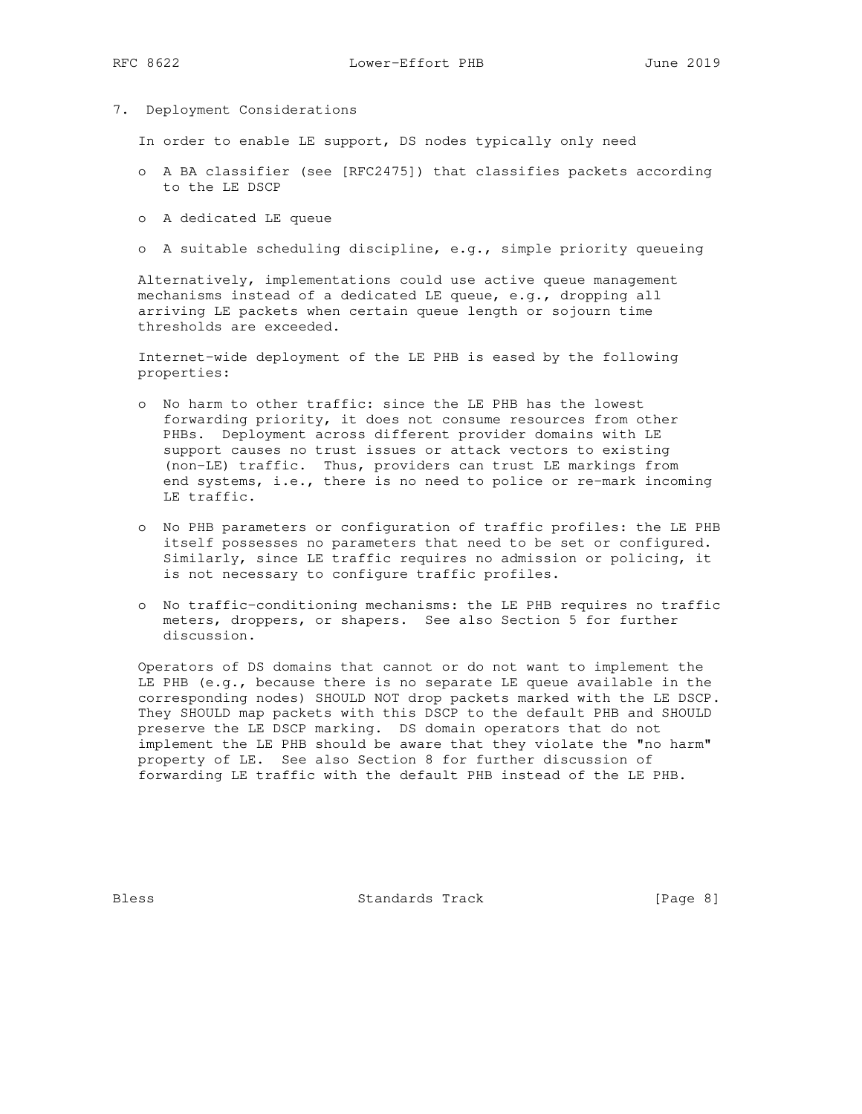7. Deployment Considerations

In order to enable LE support, DS nodes typically only need

- o A BA classifier (see [RFC2475]) that classifies packets according to the LE DSCP
- o A dedicated LE queue
- o A suitable scheduling discipline, e.g., simple priority queueing

 Alternatively, implementations could use active queue management mechanisms instead of a dedicated LE queue, e.g., dropping all arriving LE packets when certain queue length or sojourn time thresholds are exceeded.

 Internet-wide deployment of the LE PHB is eased by the following properties:

- o No harm to other traffic: since the LE PHB has the lowest forwarding priority, it does not consume resources from other PHBs. Deployment across different provider domains with LE support causes no trust issues or attack vectors to existing (non-LE) traffic. Thus, providers can trust LE markings from end systems, i.e., there is no need to police or re-mark incoming LE traffic.
- o No PHB parameters or configuration of traffic profiles: the LE PHB itself possesses no parameters that need to be set or configured. Similarly, since LE traffic requires no admission or policing, it is not necessary to configure traffic profiles.
- o No traffic-conditioning mechanisms: the LE PHB requires no traffic meters, droppers, or shapers. See also Section 5 for further discussion.

 Operators of DS domains that cannot or do not want to implement the LE PHB  $(e.q.,)$  because there is no separate LE queue available in the corresponding nodes) SHOULD NOT drop packets marked with the LE DSCP. They SHOULD map packets with this DSCP to the default PHB and SHOULD preserve the LE DSCP marking. DS domain operators that do not implement the LE PHB should be aware that they violate the "no harm" property of LE. See also Section 8 for further discussion of forwarding LE traffic with the default PHB instead of the LE PHB.

Bless Standards Track [Page 8]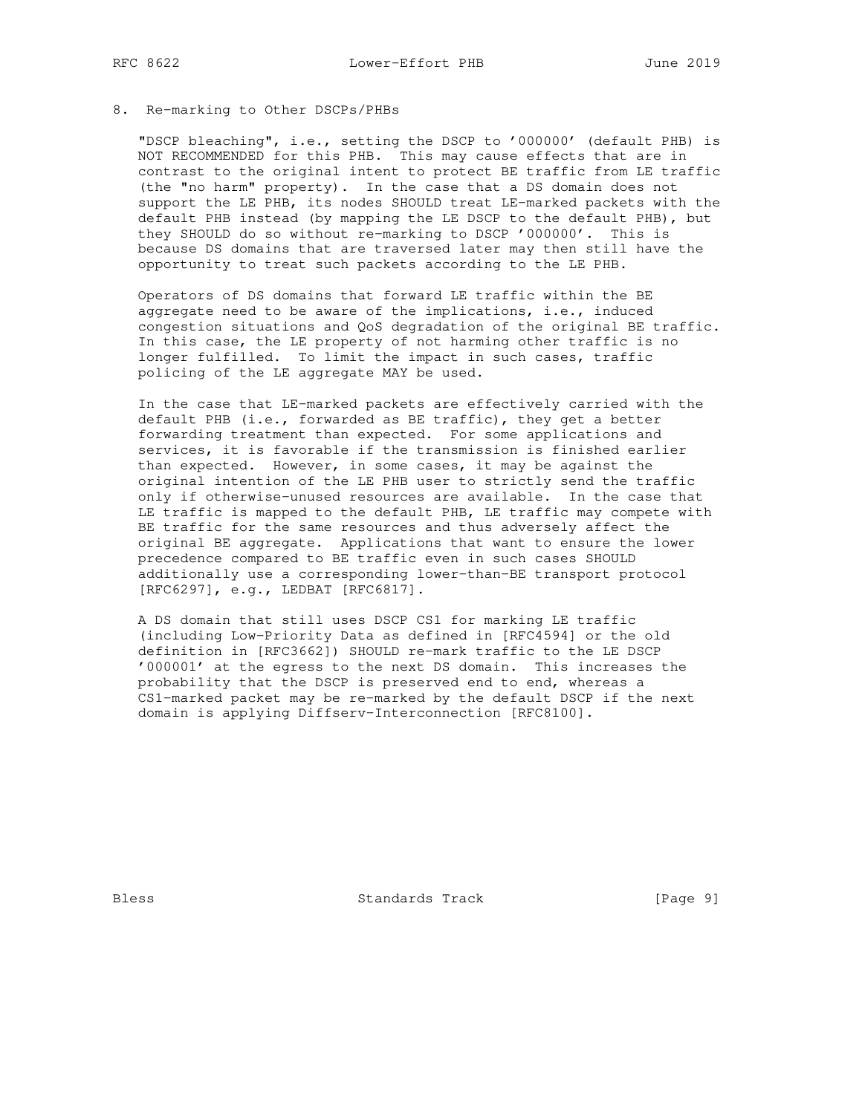### 8. Re-marking to Other DSCPs/PHBs

 "DSCP bleaching", i.e., setting the DSCP to '000000' (default PHB) is NOT RECOMMENDED for this PHB. This may cause effects that are in contrast to the original intent to protect BE traffic from LE traffic (the "no harm" property). In the case that a DS domain does not support the LE PHB, its nodes SHOULD treat LE-marked packets with the default PHB instead (by mapping the LE DSCP to the default PHB), but they SHOULD do so without re-marking to DSCP '000000'. This is because DS domains that are traversed later may then still have the opportunity to treat such packets according to the LE PHB.

 Operators of DS domains that forward LE traffic within the BE aggregate need to be aware of the implications, i.e., induced congestion situations and QoS degradation of the original BE traffic. In this case, the LE property of not harming other traffic is no longer fulfilled. To limit the impact in such cases, traffic policing of the LE aggregate MAY be used.

 In the case that LE-marked packets are effectively carried with the default PHB (i.e., forwarded as BE traffic), they get a better forwarding treatment than expected. For some applications and services, it is favorable if the transmission is finished earlier than expected. However, in some cases, it may be against the original intention of the LE PHB user to strictly send the traffic only if otherwise-unused resources are available. In the case that LE traffic is mapped to the default PHB, LE traffic may compete with BE traffic for the same resources and thus adversely affect the original BE aggregate. Applications that want to ensure the lower precedence compared to BE traffic even in such cases SHOULD additionally use a corresponding lower-than-BE transport protocol [RFC6297], e.g., LEDBAT [RFC6817].

 A DS domain that still uses DSCP CS1 for marking LE traffic (including Low-Priority Data as defined in [RFC4594] or the old definition in [RFC3662]) SHOULD re-mark traffic to the LE DSCP '000001' at the egress to the next DS domain. This increases the probability that the DSCP is preserved end to end, whereas a CS1-marked packet may be re-marked by the default DSCP if the next domain is applying Diffserv-Interconnection [RFC8100].

Bless Standards Track [Page 9]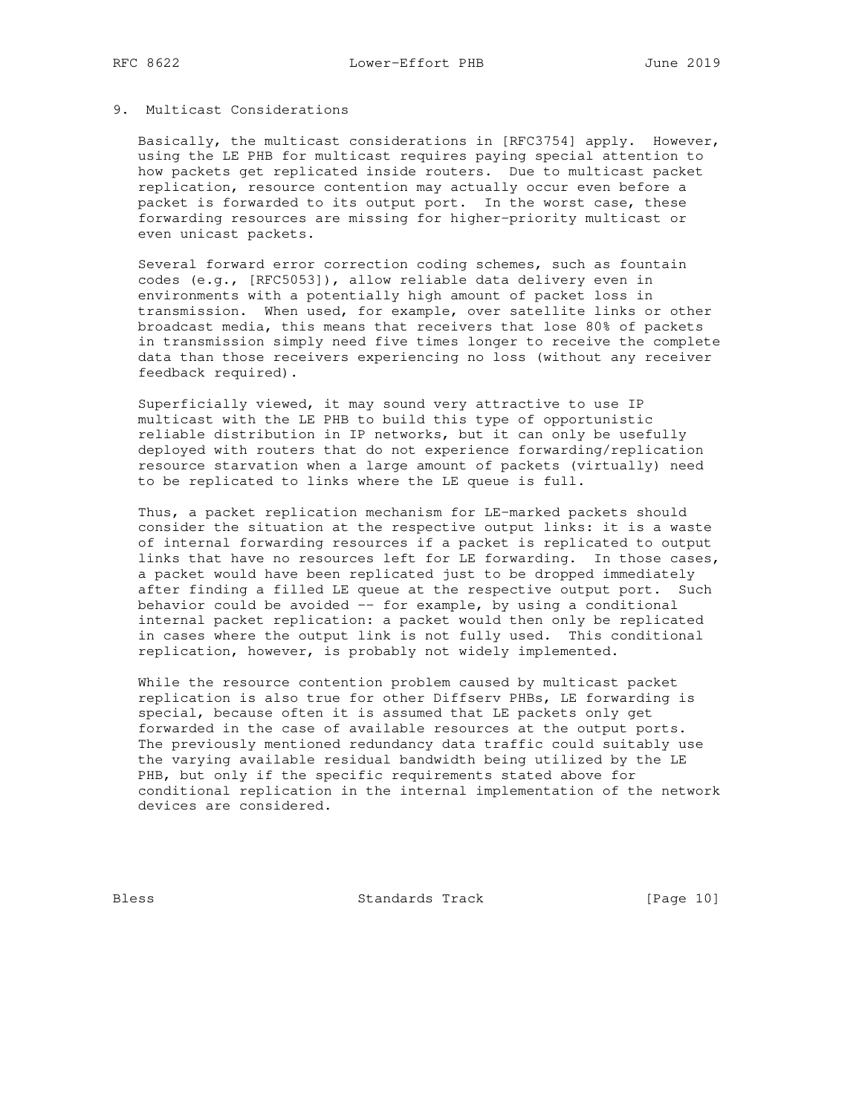### 9. Multicast Considerations

 Basically, the multicast considerations in [RFC3754] apply. However, using the LE PHB for multicast requires paying special attention to how packets get replicated inside routers. Due to multicast packet replication, resource contention may actually occur even before a packet is forwarded to its output port. In the worst case, these forwarding resources are missing for higher-priority multicast or even unicast packets.

 Several forward error correction coding schemes, such as fountain codes (e.g., [RFC5053]), allow reliable data delivery even in environments with a potentially high amount of packet loss in transmission. When used, for example, over satellite links or other broadcast media, this means that receivers that lose 80% of packets in transmission simply need five times longer to receive the complete data than those receivers experiencing no loss (without any receiver feedback required).

 Superficially viewed, it may sound very attractive to use IP multicast with the LE PHB to build this type of opportunistic reliable distribution in IP networks, but it can only be usefully deployed with routers that do not experience forwarding/replication resource starvation when a large amount of packets (virtually) need to be replicated to links where the LE queue is full.

 Thus, a packet replication mechanism for LE-marked packets should consider the situation at the respective output links: it is a waste of internal forwarding resources if a packet is replicated to output links that have no resources left for LE forwarding. In those cases, a packet would have been replicated just to be dropped immediately after finding a filled LE queue at the respective output port. Such behavior could be avoided -- for example, by using a conditional internal packet replication: a packet would then only be replicated in cases where the output link is not fully used. This conditional replication, however, is probably not widely implemented.

 While the resource contention problem caused by multicast packet replication is also true for other Diffserv PHBs, LE forwarding is special, because often it is assumed that LE packets only get forwarded in the case of available resources at the output ports. The previously mentioned redundancy data traffic could suitably use the varying available residual bandwidth being utilized by the LE PHB, but only if the specific requirements stated above for conditional replication in the internal implementation of the network devices are considered.

Bless Standards Track [Page 10]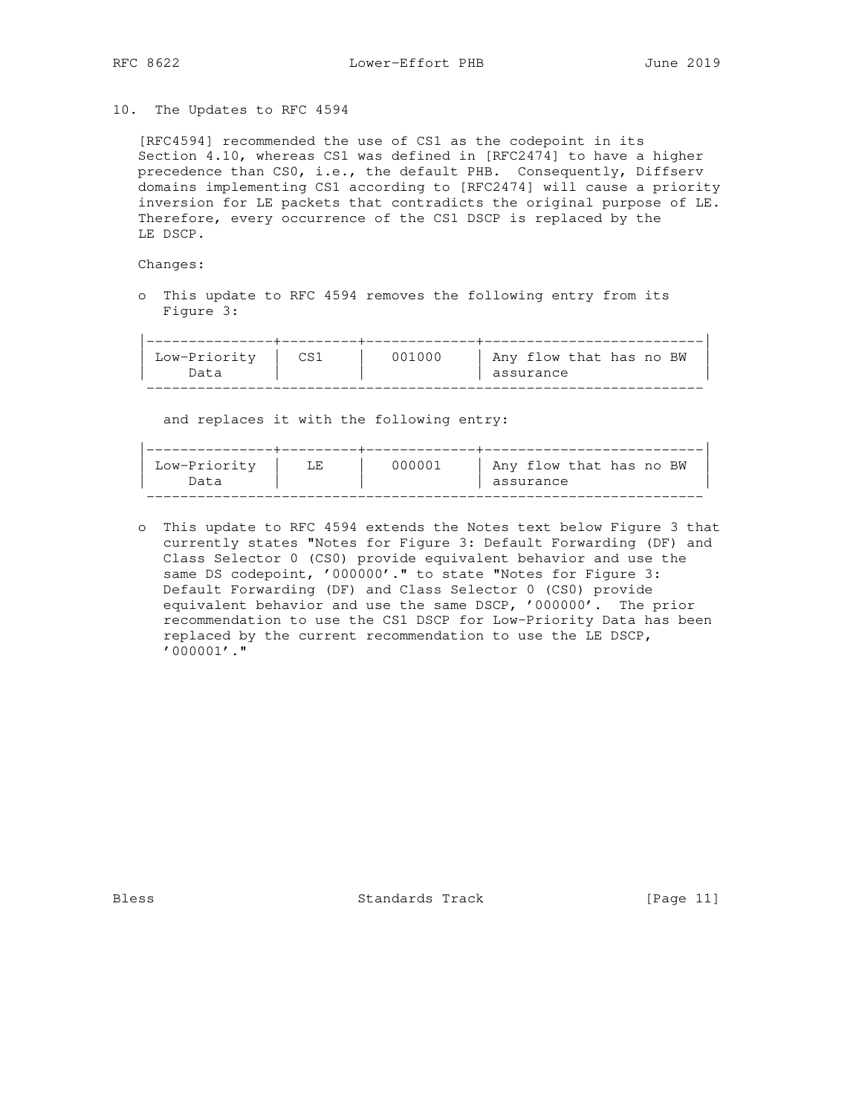#### 10. The Updates to RFC 4594

 [RFC4594] recommended the use of CS1 as the codepoint in its Section 4.10, whereas CS1 was defined in [RFC2474] to have a higher precedence than CS0, i.e., the default PHB. Consequently, Diffserv domains implementing CS1 according to [RFC2474] will cause a priority inversion for LE packets that contradicts the original purpose of LE. Therefore, every occurrence of the CS1 DSCP is replaced by the LE DSCP.

Changes:

 o This update to RFC 4594 removes the following entry from its Figure 3:

| Low-Priority | 001000 | Any flow that has no BW |
|--------------|--------|-------------------------|
| )ata         |        | assurance               |

and replaces it with the following entry:

| Low-Priority | ٦F. | ᲘᲘᲘᲘᲘ1 | Any flow that has no BW |
|--------------|-----|--------|-------------------------|
| )ata         |     |        | assurance               |

 o This update to RFC 4594 extends the Notes text below Figure 3 that currently states "Notes for Figure 3: Default Forwarding (DF) and Class Selector 0 (CS0) provide equivalent behavior and use the same DS codepoint, '000000'." to state "Notes for Figure 3: Default Forwarding (DF) and Class Selector 0 (CS0) provide equivalent behavior and use the same DSCP, '000000'. The prior recommendation to use the CS1 DSCP for Low-Priority Data has been replaced by the current recommendation to use the LE DSCP, '000001'."

Bless Standards Track [Page 11]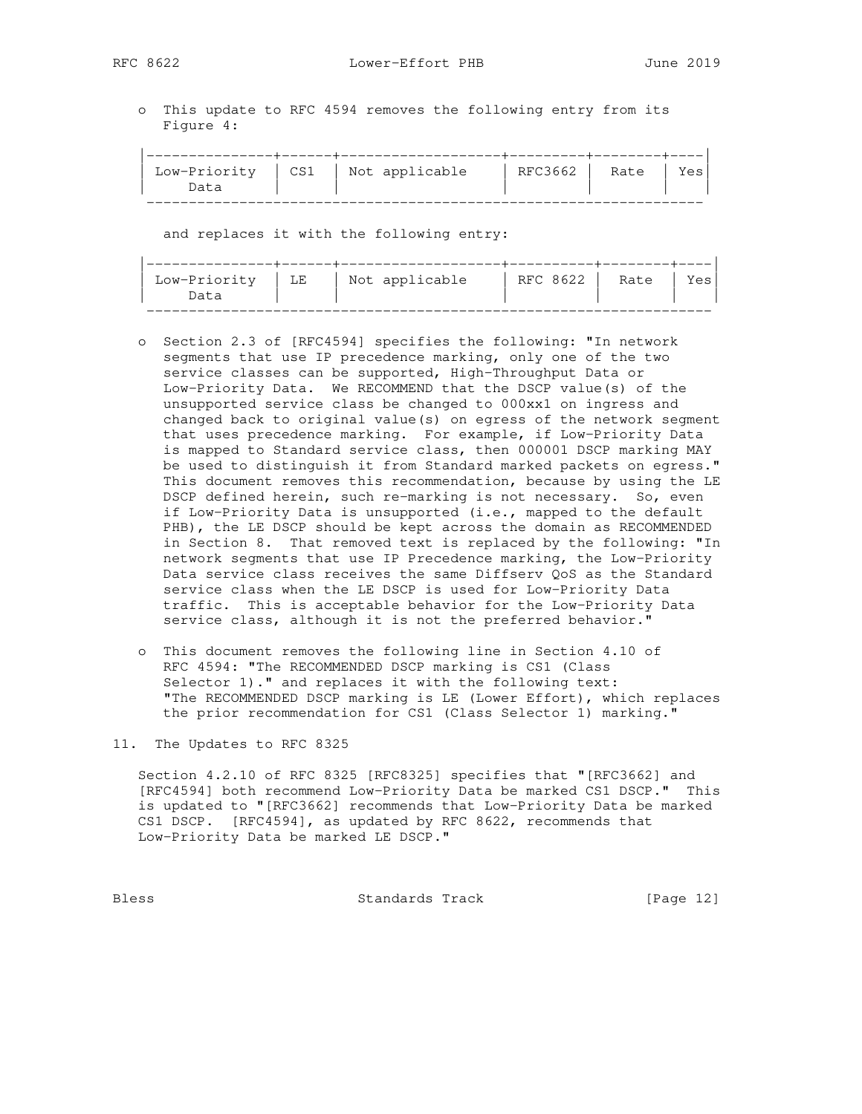RFC 8622 Lower-Effort PHB June 2019

 o This update to RFC 4594 removes the following entry from its Figure 4:

|      | Low-Priority $\vert$ CS1 $\vert$ Not applicable | RFC3662   Rate | Yes |
|------|-------------------------------------------------|----------------|-----|
| )ata |                                                 |                |     |

and replaces it with the following entry:

| Low-Priority | LE | Not applicable | RFC 8622 1 | Rate | Y≏s |
|--------------|----|----------------|------------|------|-----|
| Jata         |    |                |            |      |     |

- o Section 2.3 of [RFC4594] specifies the following: "In network segments that use IP precedence marking, only one of the two service classes can be supported, High-Throughput Data or Low-Priority Data. We RECOMMEND that the DSCP value(s) of the unsupported service class be changed to 000xx1 on ingress and changed back to original value(s) on egress of the network segment that uses precedence marking. For example, if Low-Priority Data is mapped to Standard service class, then 000001 DSCP marking MAY be used to distinguish it from Standard marked packets on egress." This document removes this recommendation, because by using the LE DSCP defined herein, such re-marking is not necessary. So, even if Low-Priority Data is unsupported (i.e., mapped to the default PHB), the LE DSCP should be kept across the domain as RECOMMENDED in Section 8. That removed text is replaced by the following: "In network segments that use IP Precedence marking, the Low-Priority Data service class receives the same Diffserv QoS as the Standard service class when the LE DSCP is used for Low-Priority Data traffic. This is acceptable behavior for the Low-Priority Data service class, although it is not the preferred behavior."
- o This document removes the following line in Section 4.10 of RFC 4594: "The RECOMMENDED DSCP marking is CS1 (Class Selector 1)." and replaces it with the following text: "The RECOMMENDED DSCP marking is LE (Lower Effort), which replaces the prior recommendation for CS1 (Class Selector 1) marking."

11. The Updates to RFC 8325

 Section 4.2.10 of RFC 8325 [RFC8325] specifies that "[RFC3662] and [RFC4594] both recommend Low-Priority Data be marked CS1 DSCP." This is updated to "[RFC3662] recommends that Low-Priority Data be marked CS1 DSCP. [RFC4594], as updated by RFC 8622, recommends that Low-Priority Data be marked LE DSCP."

Bless Standards Track [Page 12]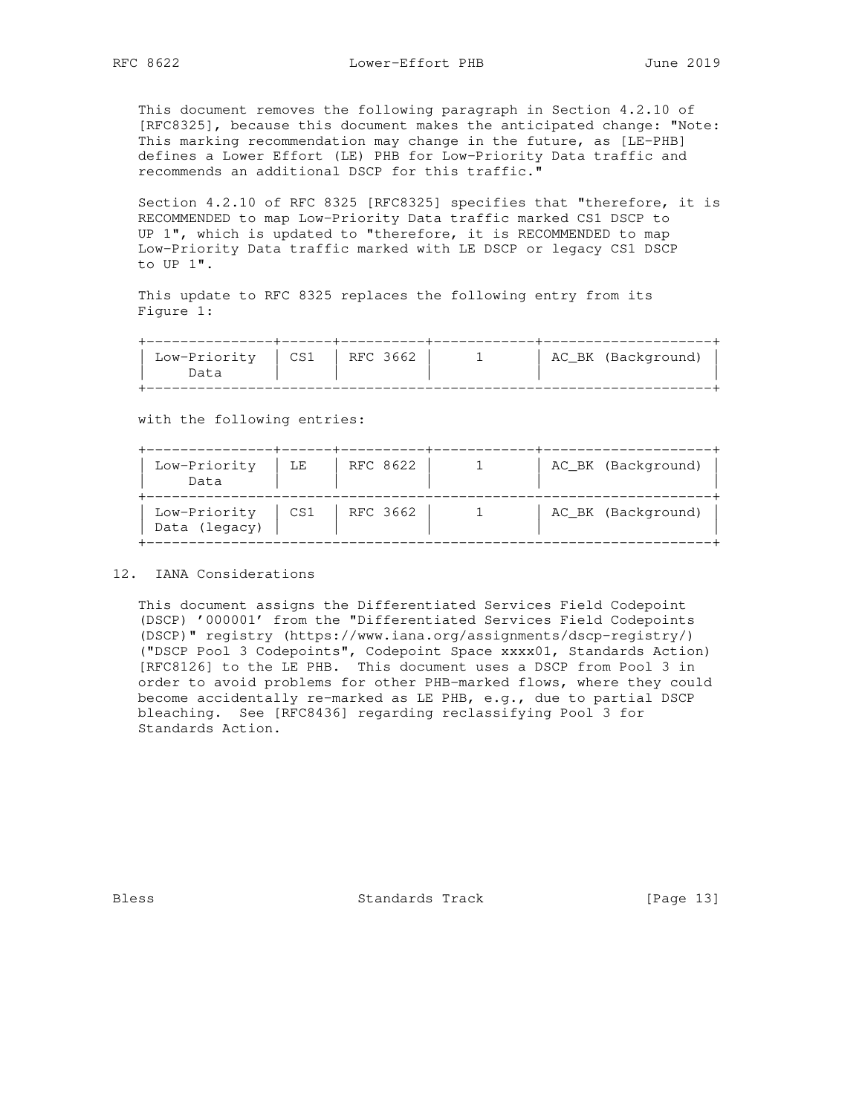This document removes the following paragraph in Section 4.2.10 of [RFC8325], because this document makes the anticipated change: "Note: This marking recommendation may change in the future, as [LE-PHB] defines a Lower Effort (LE) PHB for Low-Priority Data traffic and recommends an additional DSCP for this traffic."

 Section 4.2.10 of RFC 8325 [RFC8325] specifies that "therefore, it is RECOMMENDED to map Low-Priority Data traffic marked CS1 DSCP to UP 1", which is updated to "therefore, it is RECOMMENDED to map Low-Priority Data traffic marked with LE DSCP or legacy CS1 DSCP to UP 1".

 This update to RFC 8325 replaces the following entry from its Figure 1:

| Low-Priority   CS1   RFC 3662 |  | AC_BK (Background) |
|-------------------------------|--|--------------------|
| Data                          |  |                    |
|                               |  |                    |

with the following entries:

| Low-Priority<br>Data          | LE  | RFC 8622 |  | AC_BK (Background) |
|-------------------------------|-----|----------|--|--------------------|
| Low-Priority<br>Data (legacy) | CS1 | RFC 3662 |  | AC_BK (Background) |

12. IANA Considerations

 This document assigns the Differentiated Services Field Codepoint (DSCP) '000001' from the "Differentiated Services Field Codepoints (DSCP)" registry (https://www.iana.org/assignments/dscp-registry/) ("DSCP Pool 3 Codepoints", Codepoint Space xxxx01, Standards Action) [RFC8126] to the LE PHB. This document uses a DSCP from Pool 3 in order to avoid problems for other PHB-marked flows, where they could become accidentally re-marked as LE PHB, e.g., due to partial DSCP bleaching. See [RFC8436] regarding reclassifying Pool 3 for Standards Action.

Bless Standards Track [Page 13]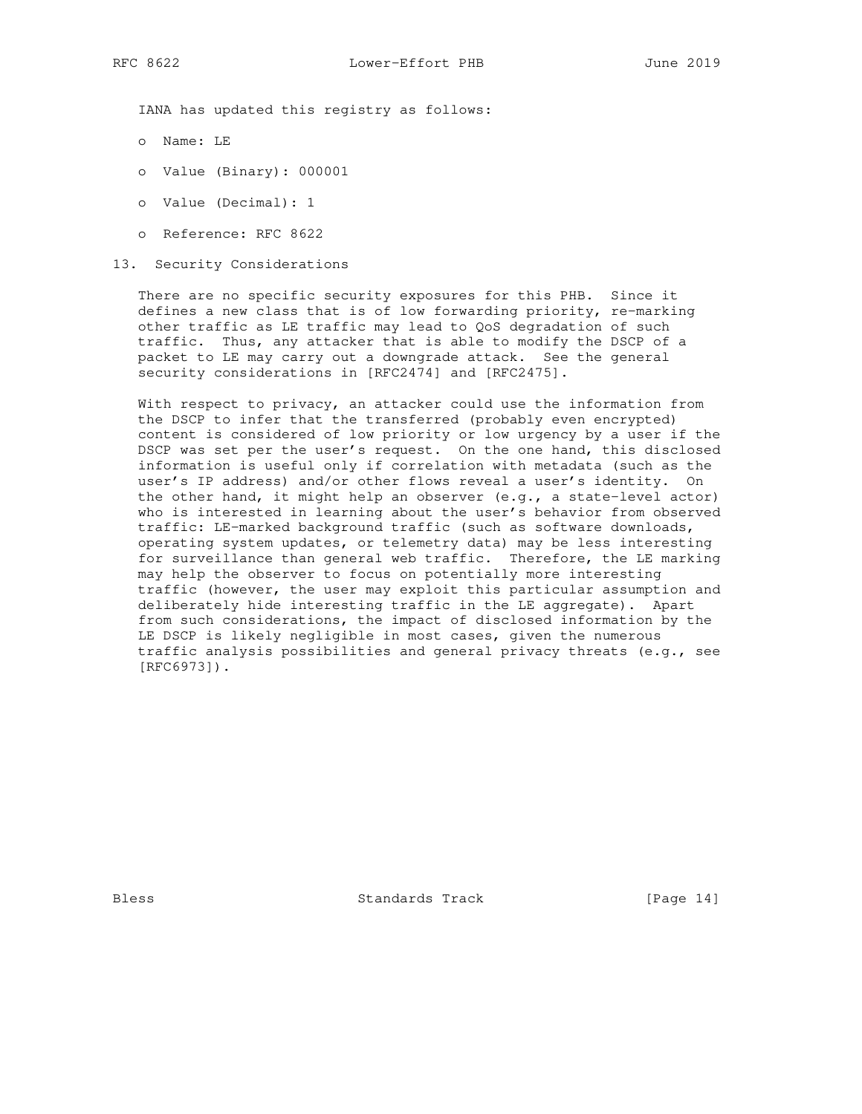IANA has updated this registry as follows:

- o Name: LE
- o Value (Binary): 000001
- o Value (Decimal): 1
- o Reference: RFC 8622
- 13. Security Considerations

 There are no specific security exposures for this PHB. Since it defines a new class that is of low forwarding priority, re-marking other traffic as LE traffic may lead to QoS degradation of such traffic. Thus, any attacker that is able to modify the DSCP of a packet to LE may carry out a downgrade attack. See the general security considerations in [RFC2474] and [RFC2475].

With respect to privacy, an attacker could use the information from the DSCP to infer that the transferred (probably even encrypted) content is considered of low priority or low urgency by a user if the DSCP was set per the user's request. On the one hand, this disclosed information is useful only if correlation with metadata (such as the user's IP address) and/or other flows reveal a user's identity. On the other hand, it might help an observer (e.g., a state-level actor) who is interested in learning about the user's behavior from observed traffic: LE-marked background traffic (such as software downloads, operating system updates, or telemetry data) may be less interesting for surveillance than general web traffic. Therefore, the LE marking may help the observer to focus on potentially more interesting traffic (however, the user may exploit this particular assumption and deliberately hide interesting traffic in the LE aggregate). Apart from such considerations, the impact of disclosed information by the LE DSCP is likely negligible in most cases, given the numerous traffic analysis possibilities and general privacy threats (e.g., see [RFC6973]).

Bless Standards Track [Page 14]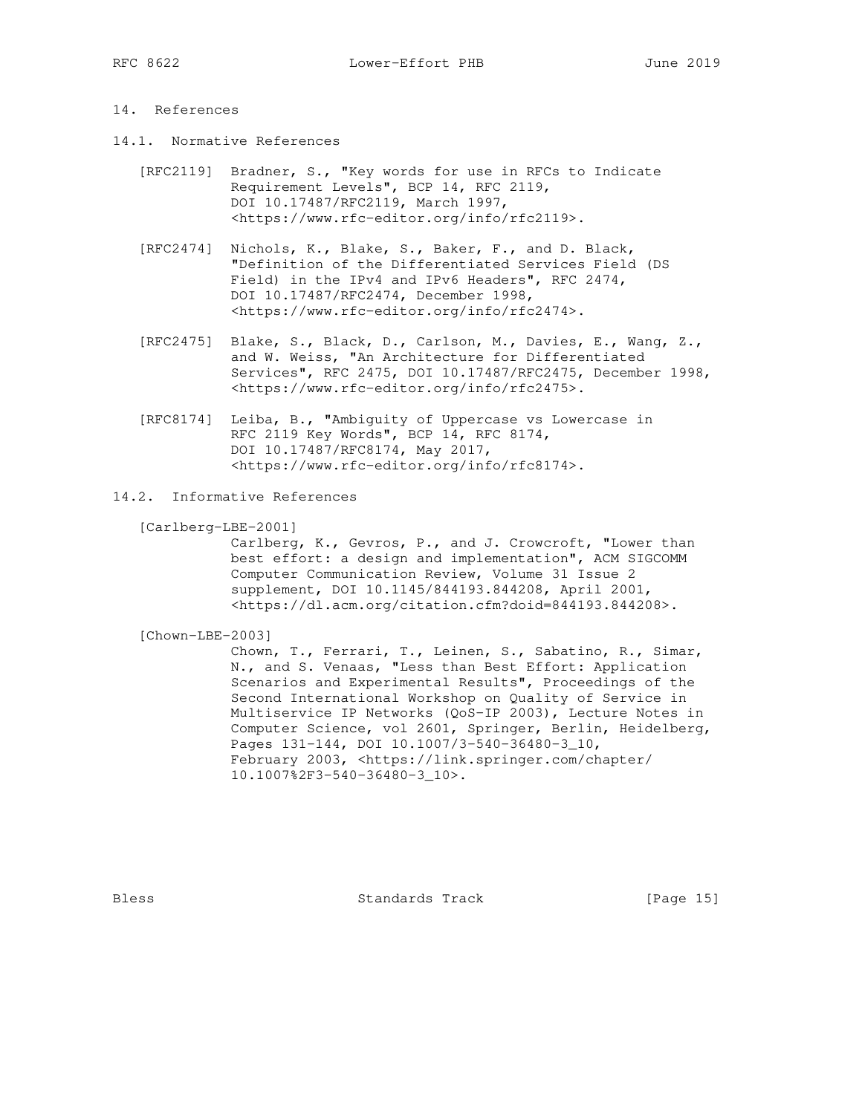## 14. References

- 14.1. Normative References
	- [RFC2119] Bradner, S., "Key words for use in RFCs to Indicate Requirement Levels", BCP 14, RFC 2119, DOI 10.17487/RFC2119, March 1997, <https://www.rfc-editor.org/info/rfc2119>.
	- [RFC2474] Nichols, K., Blake, S., Baker, F., and D. Black, "Definition of the Differentiated Services Field (DS Field) in the IPv4 and IPv6 Headers", RFC 2474, DOI 10.17487/RFC2474, December 1998, <https://www.rfc-editor.org/info/rfc2474>.
	- [RFC2475] Blake, S., Black, D., Carlson, M., Davies, E., Wang, Z., and W. Weiss, "An Architecture for Differentiated Services", RFC 2475, DOI 10.17487/RFC2475, December 1998, <https://www.rfc-editor.org/info/rfc2475>.
	- [RFC8174] Leiba, B., "Ambiguity of Uppercase vs Lowercase in RFC 2119 Key Words", BCP 14, RFC 8174, DOI 10.17487/RFC8174, May 2017, <https://www.rfc-editor.org/info/rfc8174>.
- 14.2. Informative References

[Carlberg-LBE-2001]

 Carlberg, K., Gevros, P., and J. Crowcroft, "Lower than best effort: a design and implementation", ACM SIGCOMM Computer Communication Review, Volume 31 Issue 2 supplement, DOI 10.1145/844193.844208, April 2001, <https://dl.acm.org/citation.cfm?doid=844193.844208>.

[Chown-LBE-2003]

 Chown, T., Ferrari, T., Leinen, S., Sabatino, R., Simar, N., and S. Venaas, "Less than Best Effort: Application Scenarios and Experimental Results", Proceedings of the Second International Workshop on Quality of Service in Multiservice IP Networks (QoS-IP 2003), Lecture Notes in Computer Science, vol 2601, Springer, Berlin, Heidelberg, Pages 131-144, DOI 10.1007/3-540-36480-3\_10, February 2003, <https://link.springer.com/chapter/ 10.1007%2F3-540-36480-3\_10>.

Bless Standards Track [Page 15]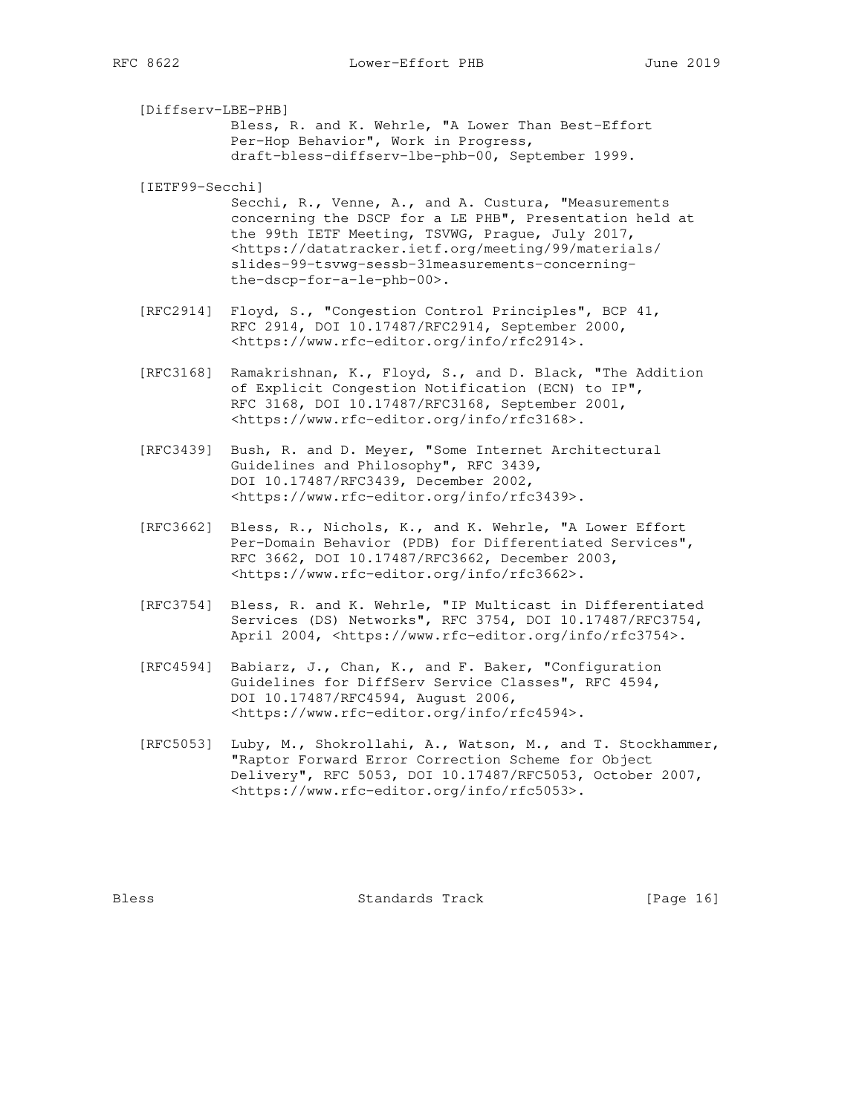[Diffserv-LBE-PHB] Bless, R. and K. Wehrle, "A Lower Than Best-Effort Per-Hop Behavior", Work in Progress, draft-bless-diffserv-lbe-phb-00, September 1999.

[IETF99-Secchi]

 Secchi, R., Venne, A., and A. Custura, "Measurements concerning the DSCP for a LE PHB", Presentation held at the 99th IETF Meeting, TSVWG, Prague, July 2017, <https://datatracker.ietf.org/meeting/99/materials/ slides-99-tsvwg-sessb-31measurements-concerning the-dscp-for-a-le-phb-00>.

- [RFC2914] Floyd, S., "Congestion Control Principles", BCP 41, RFC 2914, DOI 10.17487/RFC2914, September 2000, <https://www.rfc-editor.org/info/rfc2914>.
- [RFC3168] Ramakrishnan, K., Floyd, S., and D. Black, "The Addition of Explicit Congestion Notification (ECN) to IP", RFC 3168, DOI 10.17487/RFC3168, September 2001, <https://www.rfc-editor.org/info/rfc3168>.
- [RFC3439] Bush, R. and D. Meyer, "Some Internet Architectural Guidelines and Philosophy", RFC 3439, DOI 10.17487/RFC3439, December 2002, <https://www.rfc-editor.org/info/rfc3439>.
- [RFC3662] Bless, R., Nichols, K., and K. Wehrle, "A Lower Effort Per-Domain Behavior (PDB) for Differentiated Services", RFC 3662, DOI 10.17487/RFC3662, December 2003, <https://www.rfc-editor.org/info/rfc3662>.
- [RFC3754] Bless, R. and K. Wehrle, "IP Multicast in Differentiated Services (DS) Networks", RFC 3754, DOI 10.17487/RFC3754, April 2004, <https://www.rfc-editor.org/info/rfc3754>.
- [RFC4594] Babiarz, J., Chan, K., and F. Baker, "Configuration Guidelines for DiffServ Service Classes", RFC 4594, DOI 10.17487/RFC4594, August 2006, <https://www.rfc-editor.org/info/rfc4594>.
- [RFC5053] Luby, M., Shokrollahi, A., Watson, M., and T. Stockhammer, "Raptor Forward Error Correction Scheme for Object Delivery", RFC 5053, DOI 10.17487/RFC5053, October 2007, <https://www.rfc-editor.org/info/rfc5053>.

Bless Standards Track [Page 16]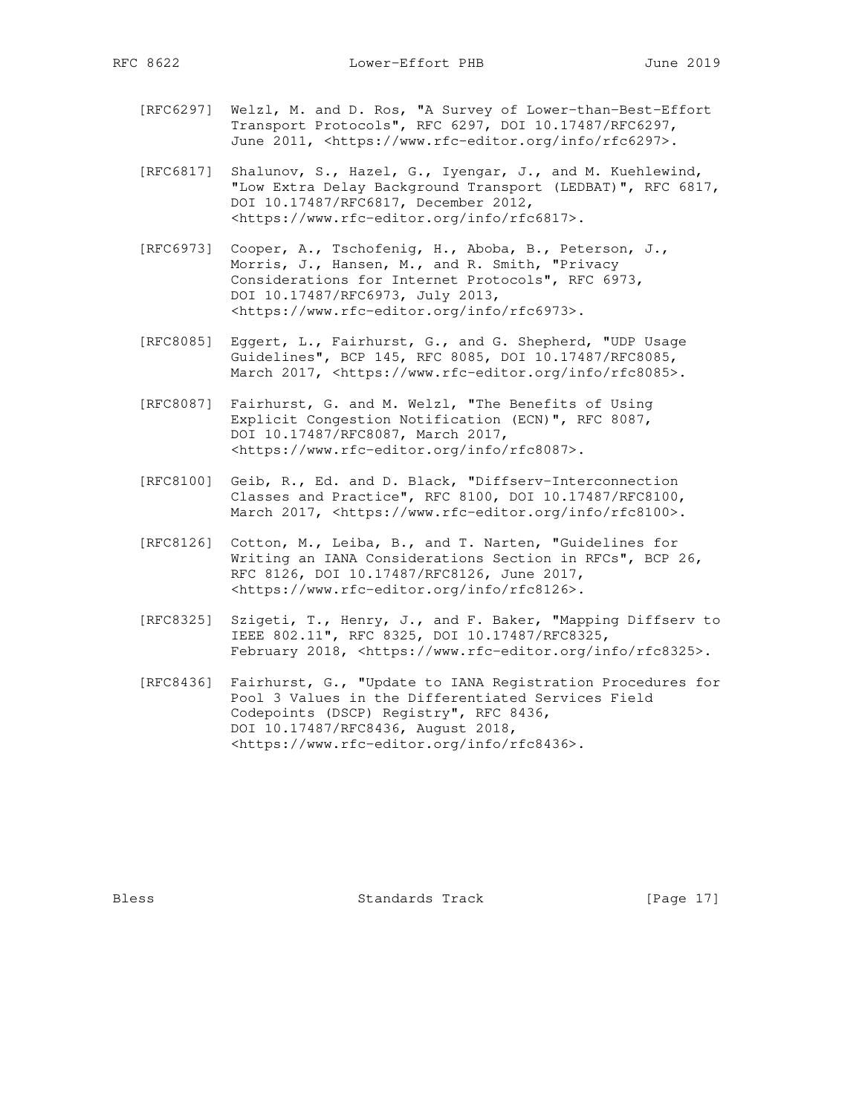- [RFC6297] Welzl, M. and D. Ros, "A Survey of Lower-than-Best-Effort Transport Protocols", RFC 6297, DOI 10.17487/RFC6297, June 2011, <https://www.rfc-editor.org/info/rfc6297>.
- [RFC6817] Shalunov, S., Hazel, G., Iyengar, J., and M. Kuehlewind, "Low Extra Delay Background Transport (LEDBAT)", RFC 6817, DOI 10.17487/RFC6817, December 2012, <https://www.rfc-editor.org/info/rfc6817>.
- [RFC6973] Cooper, A., Tschofenig, H., Aboba, B., Peterson, J., Morris, J., Hansen, M., and R. Smith, "Privacy Considerations for Internet Protocols", RFC 6973, DOI 10.17487/RFC6973, July 2013, <https://www.rfc-editor.org/info/rfc6973>.
- [RFC8085] Eggert, L., Fairhurst, G., and G. Shepherd, "UDP Usage Guidelines", BCP 145, RFC 8085, DOI 10.17487/RFC8085, March 2017, <https://www.rfc-editor.org/info/rfc8085>.
- [RFC8087] Fairhurst, G. and M. Welzl, "The Benefits of Using Explicit Congestion Notification (ECN)", RFC 8087, DOI 10.17487/RFC8087, March 2017, <https://www.rfc-editor.org/info/rfc8087>.
- [RFC8100] Geib, R., Ed. and D. Black, "Diffserv-Interconnection Classes and Practice", RFC 8100, DOI 10.17487/RFC8100, March 2017, <https://www.rfc-editor.org/info/rfc8100>.
- [RFC8126] Cotton, M., Leiba, B., and T. Narten, "Guidelines for Writing an IANA Considerations Section in RFCs", BCP 26, RFC 8126, DOI 10.17487/RFC8126, June 2017, <https://www.rfc-editor.org/info/rfc8126>.
- [RFC8325] Szigeti, T., Henry, J., and F. Baker, "Mapping Diffserv to IEEE 802.11", RFC 8325, DOI 10.17487/RFC8325, February 2018, <https://www.rfc-editor.org/info/rfc8325>.
- [RFC8436] Fairhurst, G., "Update to IANA Registration Procedures for Pool 3 Values in the Differentiated Services Field Codepoints (DSCP) Registry", RFC 8436, DOI 10.17487/RFC8436, August 2018, <https://www.rfc-editor.org/info/rfc8436>.

Bless Standards Track [Page 17]